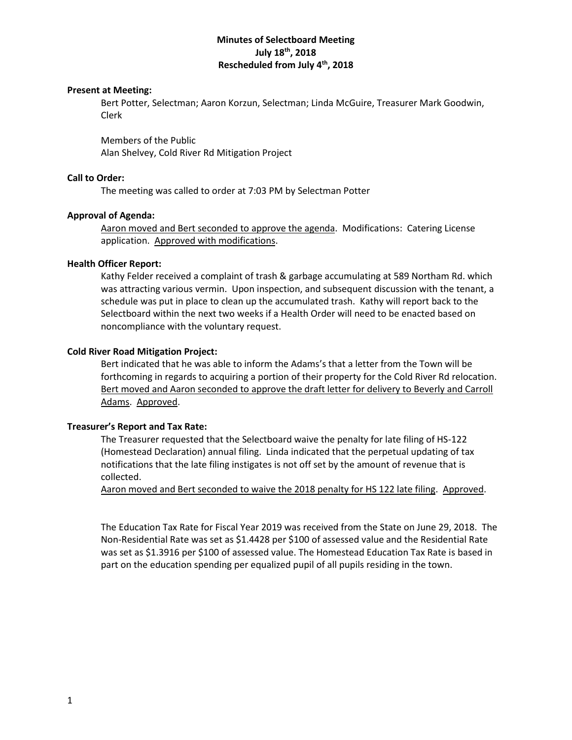# **Minutes of Selectboard Meeting July 18 th, 2018 Rescheduled from July 4th, 2018**

## **Present at Meeting:**

Bert Potter, Selectman; Aaron Korzun, Selectman; Linda McGuire, Treasurer Mark Goodwin, Clerk

Members of the Public Alan Shelvey, Cold River Rd Mitigation Project

### **Call to Order:**

The meeting was called to order at 7:03 PM by Selectman Potter

### **Approval of Agenda:**

Aaron moved and Bert seconded to approve the agenda. Modifications: Catering License application. Approved with modifications.

### **Health Officer Report:**

Kathy Felder received a complaint of trash & garbage accumulating at 589 Northam Rd. which was attracting various vermin. Upon inspection, and subsequent discussion with the tenant, a schedule was put in place to clean up the accumulated trash. Kathy will report back to the Selectboard within the next two weeks if a Health Order will need to be enacted based on noncompliance with the voluntary request.

## **Cold River Road Mitigation Project:**

Bert indicated that he was able to inform the Adams's that a letter from the Town will be forthcoming in regards to acquiring a portion of their property for the Cold River Rd relocation. Bert moved and Aaron seconded to approve the draft letter for delivery to Beverly and Carroll Adams. Approved.

### **Treasurer's Report and Tax Rate:**

The Treasurer requested that the Selectboard waive the penalty for late filing of HS-122 (Homestead Declaration) annual filing. Linda indicated that the perpetual updating of tax notifications that the late filing instigates is not off set by the amount of revenue that is collected.

Aaron moved and Bert seconded to waive the 2018 penalty for HS 122 late filing. Approved.

The Education Tax Rate for Fiscal Year 2019 was received from the State on June 29, 2018. The Non-Residential Rate was set as \$1.4428 per \$100 of assessed value and the Residential Rate was set as \$1.3916 per \$100 of assessed value. The Homestead Education Tax Rate is based in part on the education spending per equalized pupil of all pupils residing in the town.